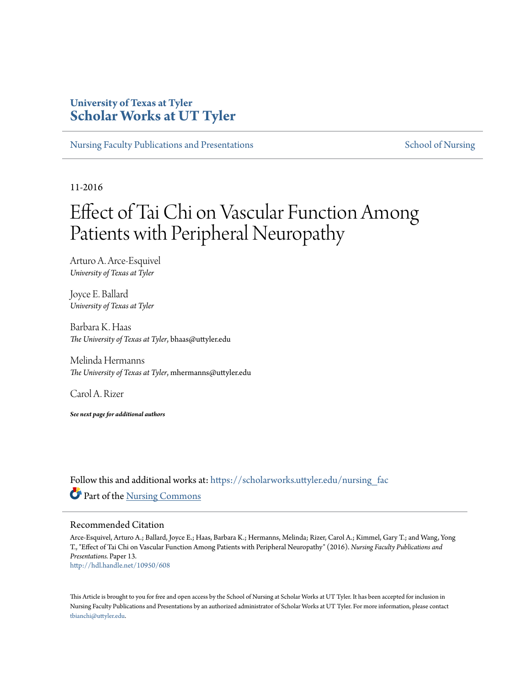# **University of Texas at Tyler [Scholar Works at UT Tyler](https://scholarworks.uttyler.edu?utm_source=scholarworks.uttyler.edu%2Fnursing_fac%2F13&utm_medium=PDF&utm_campaign=PDFCoverPages)**

[Nursing Faculty Publications and Presentations](https://scholarworks.uttyler.edu/nursing_fac?utm_source=scholarworks.uttyler.edu%2Fnursing_fac%2F13&utm_medium=PDF&utm_campaign=PDFCoverPages) [School of Nursing](https://scholarworks.uttyler.edu/nursing?utm_source=scholarworks.uttyler.edu%2Fnursing_fac%2F13&utm_medium=PDF&utm_campaign=PDFCoverPages) School of Nursing

11-2016

# Effect of Tai Chi on Vascular Function Among Patients with Peripheral Neuropathy

Arturo A. Arce-Esquivel *University of Texas at Tyler*

Joyce E. Ballard *University of Texas at Tyler*

Barbara K. Haas *The University of Texas at Tyler*, bhaas@uttyler.edu

Melinda Hermanns *The University of Texas at Tyler*, mhermanns@uttyler.edu

Carol A. Rizer

*See next page for additional authors*

Follow this and additional works at: [https://scholarworks.uttyler.edu/nursing\\_fac](https://scholarworks.uttyler.edu/nursing_fac?utm_source=scholarworks.uttyler.edu%2Fnursing_fac%2F13&utm_medium=PDF&utm_campaign=PDFCoverPages) Part of the [Nursing Commons](http://network.bepress.com/hgg/discipline/718?utm_source=scholarworks.uttyler.edu%2Fnursing_fac%2F13&utm_medium=PDF&utm_campaign=PDFCoverPages)

#### Recommended Citation

Arce-Esquivel, Arturo A.; Ballard, Joyce E.; Haas, Barbara K.; Hermanns, Melinda; Rizer, Carol A.; Kimmel, Gary T.; and Wang, Yong T., "Effect of Tai Chi on Vascular Function Among Patients with Peripheral Neuropathy" (2016). *Nursing Faculty Publications and Presentations.* Paper 13. [http://hdl.handle.net/10950/608](http://hdl.handle.net/10950/608?utm_source=scholarworks.uttyler.edu%2Fnursing_fac%2F13&utm_medium=PDF&utm_campaign=PDFCoverPages)

This Article is brought to you for free and open access by the School of Nursing at Scholar Works at UT Tyler. It has been accepted for inclusion in Nursing Faculty Publications and Presentations by an authorized administrator of Scholar Works at UT Tyler. For more information, please contact [tbianchi@uttyler.edu](mailto:tbianchi@uttyler.edu).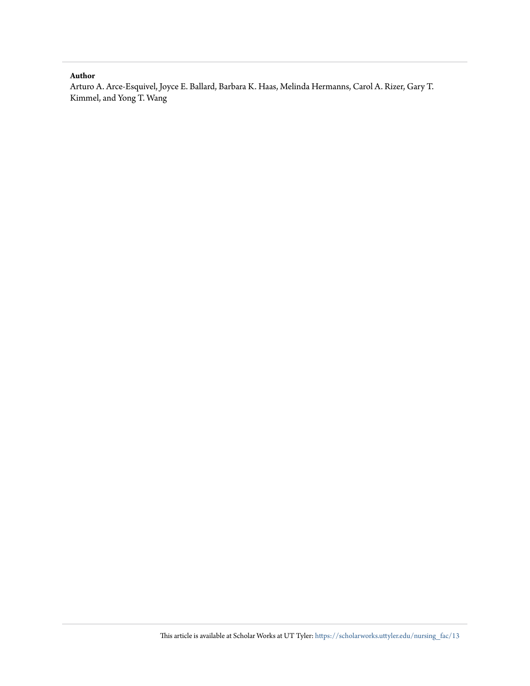#### **Author**

Arturo A. Arce-Esquivel, Joyce E. Ballard, Barbara K. Haas, Melinda Hermanns, Carol A. Rizer, Gary T. Kimmel, and Yong T. Wang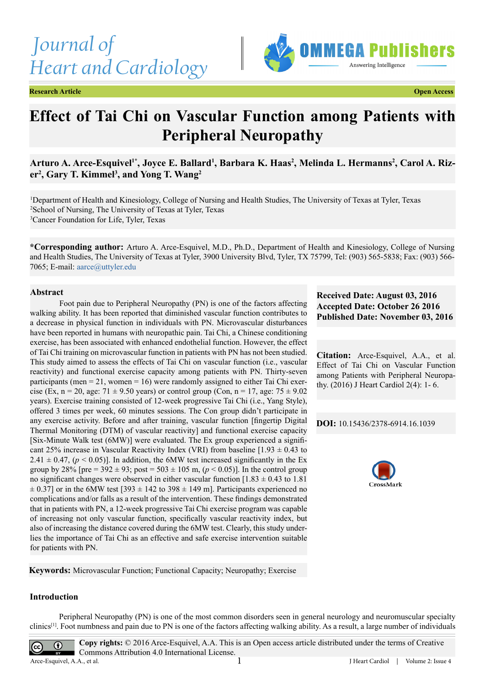*Journal of Heart and Cardiology*





# **Effect of Tai Chi on Vascular Function among Patients with Peripheral Neuropathy**

# Arturo A. Arce-Esquivel<sup>1\*</sup>, Joyce E. Ballard<sup>1</sup>, Barbara K. Haas<sup>2</sup>, Melinda L. Hermanns<sup>2</sup>, Carol A. Rizer<sup>2</sup>, Gary T. Kimmel<sup>3</sup>, and Yong T. Wang<sup>2</sup>

1 Department of Health and Kinesiology, College of Nursing and Health Studies, The University of Texas at Tyler, Texas 2 School of Nursing, The University of Texas at Tyler, Texas 3 Cancer Foundation for Life, Tyler, Texas

**\*Corresponding author:** Arturo A. Arce-Esquivel, M.D., Ph.D., Department of Health and Kinesiology, College of Nursing and Health Studies, The University of Texas at Tyler, 3900 University Blvd, Tyler, TX 75799, Tel: (903) 565-5838; Fax: (903) 566- 7065; E-mail: [aarce@uttyler.edu](mailto:aarce@uttyler.edu)

#### **Abstract**

Foot pain due to Peripheral Neuropathy (PN) is one of the factors affecting walking ability. It has been reported that diminished vascular function contributes to a decrease in physical function in individuals with PN. Microvascular disturbances have been reported in humans with neuropathic pain. Tai Chi, a Chinese conditioning exercise, has been associated with enhanced endothelial function. However, the effect of Tai Chi training on microvascular function in patients with PN has not been studied. This study aimed to assess the effects of Tai Chi on vascular function (i.e., vascular reactivity) and functional exercise capacity among patients with PN. Thirty-seven participants (men  $= 21$ , women  $= 16$ ) were randomly assigned to either Tai Chi exercise (Ex, n = 20, age:  $71 \pm 9.50$  years) or control group (Con, n = 17, age:  $75 \pm 9.02$ years). Exercise training consisted of 12-week progressive Tai Chi (i.e., Yang Style), offered 3 times per week, 60 minutes sessions. The Con group didn't participate in any exercise activity. Before and after training, vascular function [fingertip Digital Thermal Monitoring (DTM) of vascular reactivity] and functional exercise capacity [Six-Minute Walk test (6MW)] were evaluated. The Ex group experienced a significant 25% increase in Vascular Reactivity Index (VRI) from baseline  $[1.93 \pm 0.43]$  to  $2.41 \pm 0.47$ , ( $p < 0.05$ )]. In addition, the 6MW test increased significantly in the Ex group by 28% [pre =  $392 \pm 93$ ; post =  $503 \pm 105$  m, ( $p < 0.05$ )]. In the control group no significant changes were observed in either vascular function  $[1.83 \pm 0.43]$  to 1.81  $\pm$  0.37] or in the 6MW test [393  $\pm$  142 to 398  $\pm$  149 m]. Participants experienced no complications and/or falls as a result of the intervention. These findings demonstrated that in patients with PN, a 12-week progressive Tai Chi exercise program was capable of increasing not only vascular function, specifically vascular reactivity index, but also of increasing the distance covered during the 6MW test. Clearly, this study underlies the importance of Tai Chi as an effective and safe exercise intervention suitable for patients with PN.

**Received Date: August 03, 2016 Accepted Date: October 26 2016 Published Date: November 03, 2016**

**Citation:** Arce-Esquivel, A.A., et al. Effect of Tai Chi on Vascular Function among Patients with Peripheral Neuropathy. (2016) J Heart Cardiol 2(4): 1- 6.

**DOI:** [10.15436/2378-6914.16.](http://www.dx.doi.org/10.15436/2378-6914.16.1039)1039



**Keywords:** Microvascular Function; Functional Capacity; Neuropathy; Exercise

#### **Introduction**

Peripheral Neuropathy (PN) is one of the most common disorders seen in general neurology and neuromuscular specialty clinics[\[1\]](#page-7-0). Foot numbness and pain due to PN is one of the factors affecting walking ability. As a result, a large number of individuals

**Copy rights:** © 2016 Arce-Esquivel, A.A. This is an Open access article distributed under the terms of Creative Commons Attribution 4.0 International License. 1

 $\odot$ 

 $\left(\mathrm{cc}\right)$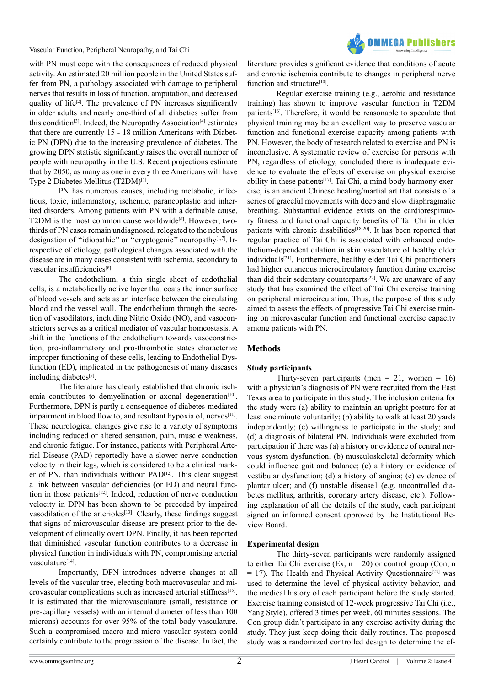

with PN must cope with the consequences of reduced physical activity. An estimated 20 million people in the United States suffer from PN, a pathology associated with damage to peripheral nerves that results in loss of function, amputation, and decreased quality of life<sup>[2]</sup>. The prevalence of PN increases significantly in older adults and nearly one-third of all diabetics suffer from this condition<sup>[\[3\]](#page-7-2)</sup>. Indeed, the Neuropathy Association<sup>[4]</sup> estimates that there are currently 15 - 18 million Americans with Diabetic PN (DPN) due to the increasing prevalence of diabetes. The growing DPN statistic significantly raises the overall number of people with neuropathy in the U.S. Recent projections estimate that by 2050, as many as one in every three Americans will have Type 2 Diabetes Mellitus (T2DM)<sup>[5]</sup>.

PN has numerous causes, including metabolic, infectious, toxic, inflammatory, ischemic, paraneoplastic and inherited disorders. Among patients with PN with a definable cause, T2DM is the most common cause worldwide<sup>[6]</sup>. However, twothirds of PN cases remain undiagnosed, relegated to the nebulous designation of "idiopathic" or "cryptogenic" neuropathy<sup>[1,7]</sup>. Irrespective of etiology, pathological changes associated with the disease are in many cases consistent with ischemia, secondary to vascular insufficiencies<sup>[\[8\]](#page-7-6)</sup>.

The endothelium, a thin single sheet of endothelial cells, is a metabolically active layer that coats the inner surface of blood vessels and acts as an interface between the circulating blood and the vessel wall. The endothelium through the secretion of vasodilators, including Nitric Oxide (NO), and vasoconstrictors serves as a critical mediator of vascular homeostasis. A shift in the functions of the endothelium towards vasoconstriction, pro-inflammatory and pro-thrombotic states characterize improper functioning of these cells, leading to Endothelial Dysfunction (ED), implicated in the pathogenesis of many diseases including diabetes<sup>[9]</sup>.

The literature has clearly established that chronic ischemia contributes to demyelination or axonal degeneration<sup>[10]</sup>. Furthermore, DPN is partly a consequence of diabetes-mediated impairment in blood flow to, and resultant hypoxia of, nerves<sup>[\[11\]](#page-7-9)</sup>. These neurological changes give rise to a variety of symptoms including reduced or altered sensation, pain, muscle weakness, and chronic fatigue. For instance, patients with Peripheral Arterial Disease (PAD) reportedly have a slower nerve conduction velocity in their legs, which is considered to be a clinical marker of PN, than individuals without PAD<sup>[12]</sup>. This clear suggest a link between vascular deficiencies (or ED) and neural function in those patient[s\[12\].](#page-7-10) Indeed, reduction of nerve conduction velocity in DPN has been shown to be preceded by impaired vasodilation of the arterioles<sup>[13]</sup>. Clearly, these findings suggest that signs of microvascular disease are present prior to the development of clinically overt DPN. Finally, it has been reported that diminished vascular function contributes to a decrease in physical function in individuals with PN, compromising arterial vasculature[\[14\]](#page-7-12).

Importantly, DPN introduces adverse changes at all levels of the vascular tree, electing both macrovascular and microvascular complications such as increased arterial stiffnes[s\[15\]](#page-7-13). It is estimated that the microvasculature (small, resistance or pre-capillary vessels) with an internal diameter of less than 100 microns) accounts for over 95% of the total body vasculature. Such a compromised macro and micro vascular system could certainly contribute to the progression of the disease. In fact, the literature provides significant evidence that conditions of acute and chronic ischemia contribute to changes in peripheral nerve function and structure<sup>[10]</sup>.

Regular exercise training (e.g., aerobic and resistance training) has shown to improve vascular function in T2DM patients<sup>[\[16\]](#page-7-14)</sup>. Therefore, it would be reasonable to speculate that physical training may be an excellent way to preserve vascular function and functional exercise capacity among patients with PN. However, the body of research related to exercise and PN is inconclusive. A systematic review of exercise for persons with PN, regardless of etiology, concluded there is inadequate evidence to evaluate the effects of exercise on physical exercise ability in these patients $[17]$ . Tai Chi, a mind-body harmony exercise, is an ancient Chinese healing/martial art that consists of a series of graceful movements with deep and slow diaphragmatic breathing. Substantial evidence exists on the cardiorespiratory fitness and functional capacity benefits of Tai Chi in older patients with chronic disabilities<sup>[\[18-20\]](#page-7-16)</sup>. It has been reported that regular practice of Tai Chi is associated with enhanced endothelium-dependent dilation in skin vasculature of healthy older individual[s\[21\].](#page-7-17) Furthermore, healthy elder Tai Chi practitioners had higher cutaneous microcirculatory function during exercise than did their sedentary counterparts<sup>[22]</sup>. We are unaware of any study that has examined the effect of Tai Chi exercise training on peripheral microcirculation. Thus, the purpose of this study aimed to assess the effects of progressive Tai Chi exercise training on microvascular function and functional exercise capacity among patients with PN.

## **Methods**

#### **Study participants**

Thirty-seven participants (men =  $21$ , women =  $16$ ) with a physician's diagnosis of PN were recruited from the East Texas area to participate in this study. The inclusion criteria for the study were (a) ability to maintain an upright posture for at least one minute voluntarily; (b) ability to walk at least 20 yards independently; (c) willingness to participate in the study; and (d) a diagnosis of bilateral PN. Individuals were excluded from participation if there was (a) a history or evidence of central nervous system dysfunction; (b) musculoskeletal deformity which could influence gait and balance; (c) a history or evidence of vestibular dysfunction; (d) a history of angina; (e) evidence of plantar ulcer; and (f) unstable disease1 (e.g. uncontrolled diabetes mellitus, arthritis, coronary artery disease, etc.). Following explanation of all the details of the study, each participant signed an informed consent approved by the Institutional Review Board.

#### **Experimental design**

The thirty-seven participants were randomly assigned to either Tai Chi exercise (Ex,  $n = 20$ ) or control group (Con, n  $= 17$ ). The Health and Physical Activity Questionnaire<sup>[23]</sup> was used to determine the level of physical activity behavior, and the medical history of each participant before the study started. Exercise training consisted of 12-week progressive Tai Chi (i.e., Yang Style), offered 3 times per week, 60 minutes sessions. The Con group didn't participate in any exercise activity during the study. They just keep doing their daily routines. The proposed study was a randomized controlled design to determine the ef-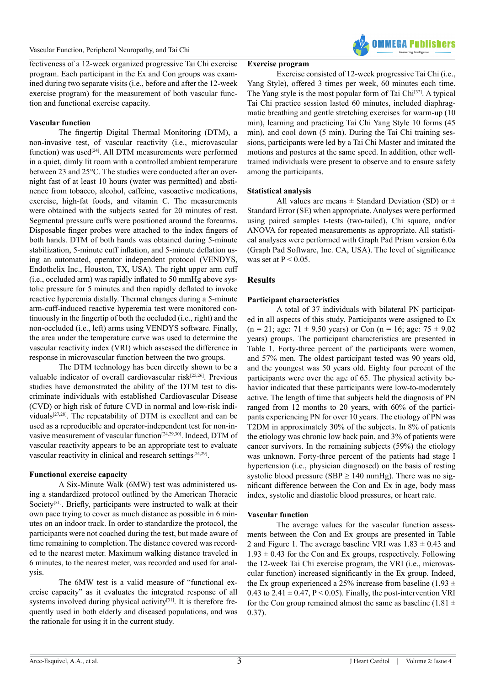

fectiveness of a 12-week organized progressive Tai Chi exercise program. Each participant in the Ex and Con groups was examined during two separate visits (i.e., before and after the 12-week exercise program) for the measurement of both vascular function and functional exercise capacity.

#### **Vascular function**

The fingertip Digital Thermal Monitoring (DTM), a non-invasive test, of vascular reactivity (i.e., microvascular function) was used<sup>[24]</sup>. All DTM measurements were performed in a quiet, dimly lit room with a controlled ambient temperature between 23 and 25°C. The studies were conducted after an overnight fast of at least 10 hours (water was permitted) and abstinence from tobacco, alcohol, caffeine, vasoactive medications, exercise, high-fat foods, and vitamin C. The measurements were obtained with the subjects seated for 20 minutes of rest. Segmental pressure cuffs were positioned around the forearms. Disposable finger probes were attached to the index fingers of both hands. DTM of both hands was obtained during 5-minute stabilization, 5-minute cuff inflation, and 5-minute deflation using an automated, operator independent protocol (VENDYS, Endothelix Inc., Houston, TX, USA). The right upper arm cuff (i.e., occluded arm) was rapidly inflated to 50 mmHg above systolic pressure for 5 minutes and then rapidly deflated to invoke reactive hyperemia distally. Thermal changes during a 5-minute arm-cuff-induced reactive hyperemia test were monitored continuously in the fingertip of both the occluded (i.e., right) and the non-occluded (i.e., left) arms using VENDYS software. Finally, the area under the temperature curve was used to determine the vascular reactivity index (VRI) which assessed the difference in response in microvascular function between the two groups.

The DTM technology has been directly shown to be a valuable indicator of overall cardiovascular risk<sup>[25,26]</sup>. Previous studies have demonstrated the ability of the DTM test to discriminate individuals with established Cardiovascular Disease (CVD) or high risk of future CVD in normal and low-risk individuals[\[27,28\].](#page-7-22) The repeatability of DTM is excellent and can be used as a reproducible and operator-independent test for non-invasive measurement of vascular functio[n\[24,29,30\].](#page-7-20) Indeed, DTM of vascular reactivity appears to be an appropriate test to evaluate vascular reactivity in clinical and research settings<sup>[24,29]</sup>.

#### **Functional exercise capacity**

A Six-Minute Walk (6MW) test was administered using a standardized protocol outlined by the American Thoracic Society<sup>[31]</sup>. Briefly, participants were instructed to walk at their own pace trying to cover as much distance as possible in 6 minutes on an indoor track. In order to standardize the protocol, the participants were not coached during the test, but made aware of time remaining to completion. The distance covered was recorded to the nearest meter. Maximum walking distance traveled in 6 minutes, to the nearest meter, was recorded and used for analysis.

The 6MW test is a valid measure of "functional exercise capacity" as it evaluates the integrated response of all systems involved during physical activity<sup>[31]</sup>. It is therefore frequently used in both elderly and diseased populations, and was the rationale for using it in the current study.

#### **Exercise program**

Exercise consisted of 12-week progressive Tai Chi (i.e., Yang Style), offered 3 times per week, 60 minutes each time. The Yang style is the most popular form of Tai Chi<sup>[32]</sup>. A typical Tai Chi practice session lasted 60 minutes, included diaphragmatic breathing and gentle stretching exercises for warm-up (10 min), learning and practicing Tai Chi Yang Style 10 forms (45 min), and cool down (5 min). During the Tai Chi training sessions, participants were led by a Tai Chi Master and imitated the motions and postures at the same speed. In addition, other welltrained individuals were present to observe and to ensure safety among the participants.

## **Statistical analysis**

All values are means  $\pm$  Standard Deviation (SD) or  $\pm$ Standard Error (SE) when appropriate. Analyses were performed using paired samples t-tests (two-tailed), Chi square, and/or ANOVA for repeated measurements as appropriate. All statistical analyses were performed with Graph Pad Prism version 6.0a (Graph Pad Software, Inc. CA, USA). The level of significance was set at  $P < 0.05$ .

# **Results**

## **Participant characteristics**

A total of 37 individuals with bilateral PN participated in all aspects of this study. Participants were assigned to Ex  $(n = 21; \text{ age}: 71 \pm 9.50 \text{ years})$  or Con  $(n = 16; \text{ age}: 75 \pm 9.02)$ years) groups. The participant characteristics are presented in Table 1. Forty-three percent of the participants were women, and 57% men. The oldest participant tested was 90 years old, and the youngest was 50 years old. Eighty four percent of the participants were over the age of 65. The physical activity behavior indicated that these participants were low-to-moderately active. The length of time that subjects held the diagnosis of PN ranged from 12 months to 20 years, with 60% of the participants experiencing PN for over 10 years. The etiology of PN was T2DM in approximately 30% of the subjects. In 8% of patients the etiology was chronic low back pain, and 3% of patients were cancer survivors. In the remaining subjects (59%) the etiology was unknown. Forty-three percent of the patients had stage I hypertension (i.e., physician diagnosed) on the basis of resting systolic blood pressure (SBP  $\geq$  140 mmHg). There was no significant difference between the Con and Ex in age, body mass index, systolic and diastolic blood pressures, or heart rate.

#### **Vascular function**

The average values for the vascular function assessments between the Con and Ex groups are presented in Table 2 and Figure 1. The average baseline VRI was  $1.83 \pm 0.43$  and  $1.93 \pm 0.43$  for the Con and Ex groups, respectively. Following the 12-week Tai Chi exercise program, the VRI (i.e., microvascular function) increased significantly in the Ex group. Indeed, the Ex group experienced a 25% increase from baseline (1.93  $\pm$ 0.43 to  $2.41 \pm 0.47$ , P < 0.05). Finally, the post-intervention VRI for the Con group remained almost the same as baseline (1.81  $\pm$ 0.37).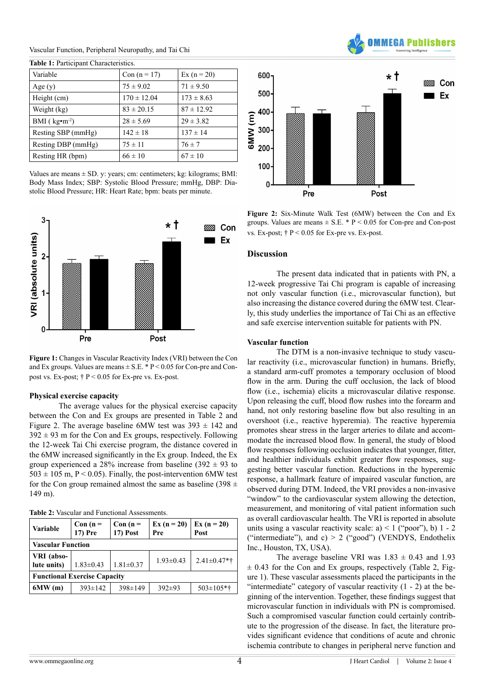Vascular Function, Peripheral Neuropathy, and Tai Chi

| Variable                  | Con $(n = 17)$  | $Ex (n = 20)$  |  |
|---------------------------|-----------------|----------------|--|
| Age(y)                    | $75 \pm 9.02$   | $71 \pm 9.50$  |  |
| Height (cm)               | $170 \pm 12.04$ | $173 \pm 8.63$ |  |
| Weight (kg)               | $83 \pm 20.15$  | $87 \pm 12.92$ |  |
| BMI ( $kg \cdot m^{-2}$ ) | $28 \pm 5.69$   | $29 \pm 3.82$  |  |
| Resting SBP (mmHg)        | $142 \pm 18$    | $137 \pm 14$   |  |
| Resting DBP (mmHg)        | $75 \pm 11$     | $76 \pm 7$     |  |
| Resting HR (bpm)          | $66 \pm 10$     | $67 \pm 10$    |  |

**Table 1:** Participant Characteristics.

Values are means  $\pm$  SD. y: years; cm: centimeters; kg: kilograms; BMI: Body Mass Index; SBP: Systolic Blood Pressure; mmHg, DBP: Diastolic Blood Pressure; HR: Heart Rate; bpm: beats per minute.



**Figure 1:** Changes in Vascular Reactivity Index (VRI) between the Con and Ex groups. Values are means  $\pm$  S.E.  $*$  P < 0.05 for Con-pre and Conpost vs. Ex-post;  $\dagger$  P < 0.05 for Ex-pre vs. Ex-post.

#### **Physical exercise capacity**

The average values for the physical exercise capacity between the Con and Ex groups are presented in Table 2 and Figure 2. The average baseline 6MW test was  $393 \pm 142$  and  $392 \pm 93$  m for the Con and Ex groups, respectively. Following the 12-week Tai Chi exercise program, the distance covered in the 6MW increased significantly in the Ex group. Indeed, the Ex group experienced a 28% increase from baseline (392  $\pm$  93 to  $503 \pm 105$  m, P < 0.05). Finally, the post-intervention 6MW test for the Con group remained almost the same as baseline (398  $\pm$ 149 m).

|  |  | <b>Table 2:</b> Vascular and Functional Assessments. |
|--|--|------------------------------------------------------|
|--|--|------------------------------------------------------|

| <b>Variable</b>                     | $Con (n =$<br>17) Pre | $Con (n =$<br><b>17) Post</b> | $Ex (n = 20)$<br>Pre | $Ex (n = 20)$<br>Post |  |  |  |
|-------------------------------------|-----------------------|-------------------------------|----------------------|-----------------------|--|--|--|
| <b>Vascular Function</b>            |                       |                               |                      |                       |  |  |  |
| VRI (abso-                          |                       |                               | $1.93 \pm 0.43$      | $2.41 \pm 0.47$ *†    |  |  |  |
| lute units)                         | $1.83 \pm 0.43$       | $1.81 \pm 0.37$               |                      |                       |  |  |  |
| <b>Functional Exercise Capacity</b> |                       |                               |                      |                       |  |  |  |
| 6MW(m)                              | $393 \pm 142$         | $398 \pm 149$                 | $392 \pm 93$         | $503 \pm 105$ *†      |  |  |  |



AA Puhli

**Figure 2:** Six-Minute Walk Test (6MW) between the Con and Ex groups. Values are means  $\pm$  S.E. \* P < 0.05 for Con-pre and Con-post vs. Ex-post;  $\dagger$  P < 0.05 for Ex-pre vs. Ex-post.

#### **Discussion**

The present data indicated that in patients with PN, a 12-week progressive Tai Chi program is capable of increasing not only vascular function (i.e., microvascular function), but also increasing the distance covered during the 6MW test. Clearly, this study underlies the importance of Tai Chi as an effective and safe exercise intervention suitable for patients with PN.

#### **Vascular function**

The DTM is a non-invasive technique to study vascular reactivity (i.e., microvascular function) in humans. Briefly, a standard arm-cuff promotes a temporary occlusion of blood flow in the arm. During the cuff occlusion, the lack of blood flow (i.e., ischemia) elicits a microvascular dilative response. Upon releasing the cuff, blood flow rushes into the forearm and hand, not only restoring baseline flow but also resulting in an overshoot (i.e., reactive hyperemia). The reactive hyperemia promotes shear stress in the larger arteries to dilate and accommodate the increased blood flow. In general, the study of blood flow responses following occlusion indicates that younger, fitter, and healthier individuals exhibit greater flow responses, suggesting better vascular function. Reductions in the hyperemic response, a hallmark feature of impaired vascular function, are observed during DTM. Indeed, the VRI provides a non-invasive "window" to the cardiovascular system allowing the detection, measurement, and monitoring of vital patient information such as overall cardiovascular health. The VRI is reported in absolute units using a vascular reactivity scale: a) < 1 ("poor"), b) 1 - 2 ("intermediate"), and c)  $> 2$  ("good") (VENDYS, Endothelix Inc., Houston, TX, USA).

The average baseline VRI was  $1.83 \pm 0.43$  and  $1.93$  $\pm$  0.43 for the Con and Ex groups, respectively (Table 2, Figure 1). These vascular assessments placed the participants in the "intermediate" category of vascular reactivity  $(1 - 2)$  at the beginning of the intervention. Together, these findings suggest that microvascular function in individuals with PN is compromised. Such a compromised vascular function could certainly contribute to the progression of the disease. In fact, the literature provides significant evidence that conditions of acute and chronic ischemia contribute to changes in peripheral nerve function and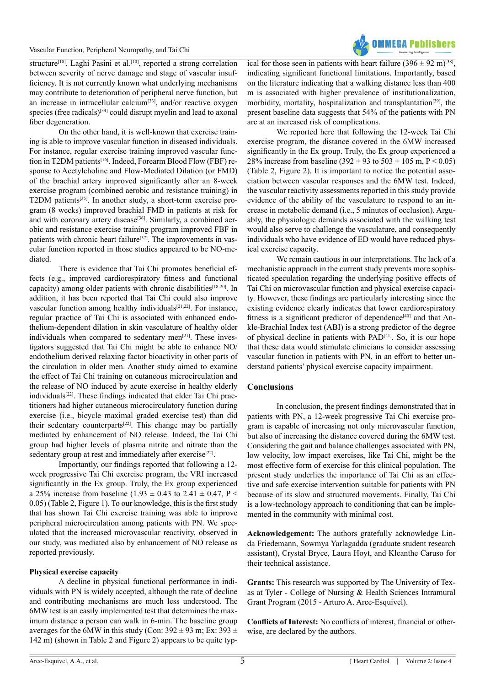#### Vascular Function, Peripheral Neuropathy, and Tai Chi



structure<sup>[\[10\]](#page-7-8)</sup>. Laghi Pasini et al.<sup>[10]</sup>, reported a strong correlation between severity of nerve damage and stage of vascular insufficiency. It is not currently known what underlying mechanisms may contribute to deterioration of peripheral nerve function, but an increase in intracellular calcium<sup>[33]</sup>, and/or reactive oxygen species (free radicals)<sup>[\[34\]](#page-7-26)</sup> could disrupt myelin and lead to axonal fiber degeneration.

On the other hand, it is well-known that exercise training is able to improve vascular function in diseased individuals. For instance, regular exercise training improved vascular function in T2DM patients<sup>[16]</sup>. Indeed, Forearm Blood Flow (FBF) response to Acetylcholine and Flow-Mediated Dilation (or FMD) of the brachial artery improved significantly after an 8-week exercise program (combined aerobic and resistance training) in T2DM patients<sup>[35]</sup>. In another study, a short-term exercise program (8 weeks) improved brachial FMD in patients at risk for and with coronary artery disease<sup>[\[36\]](#page-7-28)</sup>. Similarly, a combined aerobic and resistance exercise training program improved FBF in patients with chronic heart failure<sup>[\[37\]](#page-7-29)</sup>. The improvements in vascular function reported in those studies appeared to be NO-mediated.

There is evidence that Tai Chi promotes beneficial effects (e.g., improved cardiorespiratory fitness and functional capacity) among older patients with chronic disabilities<sup>[18-20]</sup>. In addition, it has been reported that Tai Chi could also improve vascular function among healthy individuals<sup>[21,22]</sup>. For instance, regular practice of Tai Chi is associated with enhanced endothelium-dependent dilation in skin vasculature of healthy older individuals when compared to sedentary men $[21]$ . These investigators suggested that Tai Chi might be able to enhance NO/ endothelium derived relaxing factor bioactivity in other parts of the circulation in older men. Another study aimed to examine the effect of Tai Chi training on cutaneous microcirculation and the release of NO induced by acute exercise in healthy elderly individuals<sup>[22]</sup>. These findings indicated that elder Tai Chi practitioners had higher cutaneous microcirculatory function during exercise (i.e., bicycle maximal graded exercise test) than did their sedentary counterparts $[22]$ . This change may be partially mediated by enhancement of NO release. Indeed, the Tai Chi group had higher levels of plasma nitrite and nitrate than the sedentary group at rest and immediately after exercise<sup>[22]</sup>.

Importantly, our findings reported that following a 12 week progressive Tai Chi exercise program, the VRI increased significantly in the Ex group. Truly, the Ex group experienced a 25% increase from baseline (1.93  $\pm$  0.43 to 2.41  $\pm$  0.47, P < 0.05) (Table 2, Figure 1). To our knowledge, this is the first study that has shown Tai Chi exercise training was able to improve peripheral microcirculation among patients with PN. We speculated that the increased microvascular reactivity, observed in our study, was mediated also by enhancement of NO release as reported previously.

#### **Physical exercise capacity**

A decline in physical functional performance in individuals with PN is widely accepted, although the rate of decline and contributing mechanisms are much less understood. The 6MW test is an easily implemented test that determines the maximum distance a person can walk in 6-min. The baseline group averages for the 6MW in this study (Con:  $392 \pm 93$  m; Ex:  $393 \pm 1$ 142 m) (shown in Table 2 and Figure 2) appears to be quite typical for those seen in patients with heart failure  $(396 \pm 92 \text{ m})^{[38]}$ , indicating significant functional limitations. Importantly, based on the literature indicating that a walking distance less than 400 m is associated with higher prevalence of institutionalization, morbidity, mortality, hospitalization and transplantation<sup>[39]</sup>, the present baseline data suggests that 54% of the patients with PN are at an increased risk of complications.

We reported here that following the 12-week Tai Chi exercise program, the distance covered in the 6MW increased significantly in the Ex group. Truly, the Ex group experienced a 28% increase from baseline (392  $\pm$  93 to 503  $\pm$  105 m, P < 0.05) (Table 2, Figure 2). It is important to notice the potential association between vascular responses and the 6MW test. Indeed, the vascular reactivity assessments reported in this study provide evidence of the ability of the vasculature to respond to an increase in metabolic demand (i.e., 5 minutes of occlusion). Arguably, the physiologic demands associated with the walking test would also serve to challenge the vasculature, and consequently individuals who have evidence of ED would have reduced physical exercise capacity.

We remain cautious in our interpretations. The lack of a mechanistic approach in the current study prevents more sophisticated speculation regarding the underlying positive effects of Tai Chi on microvascular function and physical exercise capacity. However, these findings are particularly interesting since the existing evidence clearly indicates that lower cardiorespiratory fitness is a significant predictor of dependence<sup>[\[40\]](#page-7-32)</sup> and that Ankle-Brachial Index test (ABI) is a strong predictor of the degree of physical decline in patients with PA[D\[41\].](#page-7-33) So, it is our hope that these data would stimulate clinicians to consider assessing vascular function in patients with PN, in an effort to better understand patients' physical exercise capacity impairment.

#### **Conclusions**

In conclusion, the present findings demonstrated that in patients with PN, a 12-week progressive Tai Chi exercise program is capable of increasing not only microvascular function, but also of increasing the distance covered during the 6MW test. Considering the gait and balance challenges associated with PN, low velocity, low impact exercises, like Tai Chi, might be the most effective form of exercise for this clinical population. The present study underlies the importance of Tai Chi as an effective and safe exercise intervention suitable for patients with PN because of its slow and structured movements. Finally, Tai Chi is a low-technology approach to conditioning that can be implemented in the community with minimal cost.

**Acknowledgement:** The authors gratefully acknowledge Linda Friedemann, Sowmya Yarlagadda (graduate student research assistant), Crystal Bryce, Laura Hoyt, and Kleanthe Caruso for their technical assistance.

**Grants:** This research was supported by The University of Texas at Tyler - College of Nursing & Health Sciences Intramural Grant Program (2015 - Arturo A. Arce-Esquivel).

**Conflicts of Interest:** No conflicts of interest, financial or otherwise, are declared by the authors.